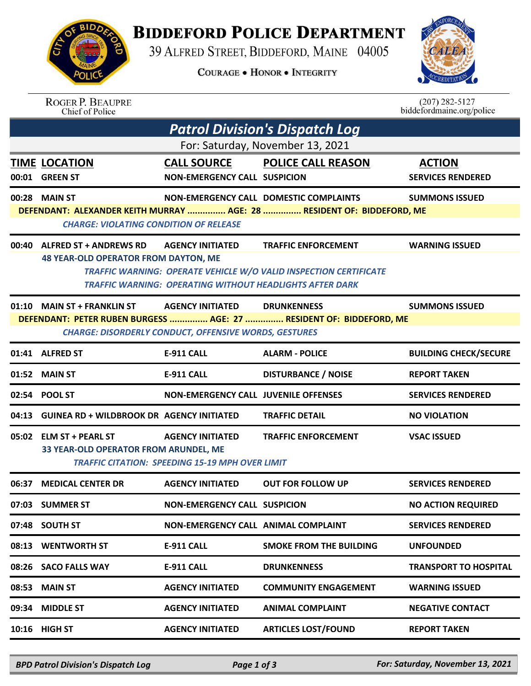

## **BIDDEFORD POLICE DEPARTMENT**

39 ALFRED STREET, BIDDEFORD, MAINE 04005

**COURAGE . HONOR . INTEGRITY** 



| <b>ROGER P. BEAUPRE</b> |  |
|-------------------------|--|
| Chief of Police         |  |

 $(207)$  282-5127<br>biddefordmaine.org/police

|                                  | <b>Patrol Division's Dispatch Log</b>           |                                                              |                                                                          |                                           |  |  |
|----------------------------------|-------------------------------------------------|--------------------------------------------------------------|--------------------------------------------------------------------------|-------------------------------------------|--|--|
| For: Saturday, November 13, 2021 |                                                 |                                                              |                                                                          |                                           |  |  |
|                                  | <b>TIME LOCATION</b><br>00:01 GREEN ST          | <b>CALL SOURCE</b><br><b>NON-EMERGENCY CALL SUSPICION</b>    | <b>POLICE CALL REASON</b>                                                | <b>ACTION</b><br><b>SERVICES RENDERED</b> |  |  |
|                                  | 00:28 MAIN ST                                   |                                                              | NON-EMERGENCY CALL DOMESTIC COMPLAINTS                                   | <b>SUMMONS ISSUED</b>                     |  |  |
|                                  |                                                 |                                                              | DEFENDANT: ALEXANDER KEITH MURRAY  AGE: 28  RESIDENT OF: BIDDEFORD, ME   |                                           |  |  |
|                                  | <b>CHARGE: VIOLATING CONDITION OF RELEASE</b>   |                                                              |                                                                          |                                           |  |  |
|                                  | 00:40 ALFRED ST + ANDREWS RD                    | <b>AGENCY INITIATED</b>                                      | <b>TRAFFIC ENFORCEMENT</b>                                               | <b>WARNING ISSUED</b>                     |  |  |
|                                  | <b>48 YEAR-OLD OPERATOR FROM DAYTON, ME</b>     |                                                              |                                                                          |                                           |  |  |
|                                  |                                                 |                                                              | <b>TRAFFIC WARNING: OPERATE VEHICLE W/O VALID INSPECTION CERTIFICATE</b> |                                           |  |  |
|                                  |                                                 |                                                              | <b>TRAFFIC WARNING: OPERATING WITHOUT HEADLIGHTS AFTER DARK</b>          |                                           |  |  |
|                                  | 01:10 MAIN ST + FRANKLIN ST                     | <b>AGENCY INITIATED</b>                                      | <b>DRUNKENNESS</b>                                                       | <b>SUMMONS ISSUED</b>                     |  |  |
|                                  |                                                 |                                                              | DEFENDANT: PETER RUBEN BURGESS  AGE: 27  RESIDENT OF: BIDDEFORD, ME      |                                           |  |  |
|                                  |                                                 | <b>CHARGE: DISORDERLY CONDUCT, OFFENSIVE WORDS, GESTURES</b> |                                                                          |                                           |  |  |
|                                  | 01:41 ALFRED ST                                 | <b>E-911 CALL</b>                                            | <b>ALARM - POLICE</b>                                                    | <b>BUILDING CHECK/SECURE</b>              |  |  |
|                                  | 01:52 MAIN ST                                   | <b>E-911 CALL</b>                                            | <b>DISTURBANCE / NOISE</b>                                               | <b>REPORT TAKEN</b>                       |  |  |
|                                  | 02:54 POOL ST                                   | <b>NON-EMERGENCY CALL JUVENILE OFFENSES</b>                  |                                                                          | <b>SERVICES RENDERED</b>                  |  |  |
|                                  | 04:13 GUINEA RD + WILDBROOK DR AGENCY INITIATED |                                                              | <b>TRAFFIC DETAIL</b>                                                    | <b>NO VIOLATION</b>                       |  |  |
|                                  | 05:02 ELM ST + PEARL ST                         | <b>AGENCY INITIATED</b>                                      | <b>TRAFFIC ENFORCEMENT</b>                                               | <b>VSAC ISSUED</b>                        |  |  |
|                                  | 33 YEAR-OLD OPERATOR FROM ARUNDEL, ME           |                                                              |                                                                          |                                           |  |  |
|                                  |                                                 | <b>TRAFFIC CITATION: SPEEDING 15-19 MPH OVER LIMIT</b>       |                                                                          |                                           |  |  |
|                                  | 06:37 MEDICAL CENTER DR                         | <b>AGENCY INITIATED</b>                                      | <b>OUT FOR FOLLOW UP</b>                                                 | <b>SERVICES RENDERED</b>                  |  |  |
|                                  | 07:03 SUMMER ST                                 | <b>NON-EMERGENCY CALL SUSPICION</b>                          |                                                                          | <b>NO ACTION REQUIRED</b>                 |  |  |
|                                  | 07:48 SOUTH ST                                  | NON-EMERGENCY CALL ANIMAL COMPLAINT                          |                                                                          | <b>SERVICES RENDERED</b>                  |  |  |
|                                  | 08:13 WENTWORTH ST                              | <b>E-911 CALL</b>                                            | <b>SMOKE FROM THE BUILDING</b>                                           | <b>UNFOUNDED</b>                          |  |  |
|                                  | 08:26 SACO FALLS WAY                            | <b>E-911 CALL</b>                                            | <b>DRUNKENNESS</b>                                                       | <b>TRANSPORT TO HOSPITAL</b>              |  |  |
| 08:53                            | <b>MAIN ST</b>                                  | <b>AGENCY INITIATED</b>                                      | <b>COMMUNITY ENGAGEMENT</b>                                              | <b>WARNING ISSUED</b>                     |  |  |
|                                  | 09:34 MIDDLE ST                                 | <b>AGENCY INITIATED</b>                                      | <b>ANIMAL COMPLAINT</b>                                                  | <b>NEGATIVE CONTACT</b>                   |  |  |
|                                  | 10:16 HIGH ST                                   | <b>AGENCY INITIATED</b>                                      | <b>ARTICLES LOST/FOUND</b>                                               | <b>REPORT TAKEN</b>                       |  |  |
|                                  |                                                 |                                                              |                                                                          |                                           |  |  |

*BPD Patrol Division's Dispatch Log Page 1 of 3 For: Saturday, November 13, 2021*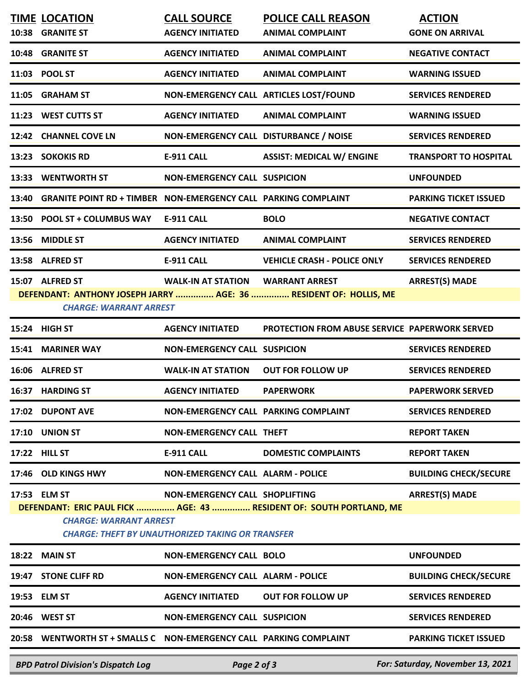|                                                                                                                                                                                                                                            | <b>TIME LOCATION</b><br>10:38 GRANITE ST                              | <b>CALL SOURCE</b><br><b>AGENCY INITIATED</b> | <b>POLICE CALL REASON</b><br><b>ANIMAL COMPLAINT</b>              | <b>ACTION</b><br><b>GONE ON ARRIVAL</b> |  |  |
|--------------------------------------------------------------------------------------------------------------------------------------------------------------------------------------------------------------------------------------------|-----------------------------------------------------------------------|-----------------------------------------------|-------------------------------------------------------------------|-----------------------------------------|--|--|
|                                                                                                                                                                                                                                            | 10:48 GRANITE ST                                                      | <b>AGENCY INITIATED</b>                       | <b>ANIMAL COMPLAINT</b>                                           | <b>NEGATIVE CONTACT</b>                 |  |  |
|                                                                                                                                                                                                                                            | 11:03 POOL ST                                                         | <b>AGENCY INITIATED</b>                       | <b>ANIMAL COMPLAINT</b>                                           | <b>WARNING ISSUED</b>                   |  |  |
|                                                                                                                                                                                                                                            | 11:05 GRAHAM ST                                                       | NON-EMERGENCY CALL ARTICLES LOST/FOUND        |                                                                   | <b>SERVICES RENDERED</b>                |  |  |
|                                                                                                                                                                                                                                            | 11:23 WEST CUTTS ST                                                   | <b>AGENCY INITIATED</b>                       | <b>ANIMAL COMPLAINT</b>                                           | <b>WARNING ISSUED</b>                   |  |  |
|                                                                                                                                                                                                                                            | 12:42 CHANNEL COVE LN                                                 | NON-EMERGENCY CALL DISTURBANCE / NOISE        |                                                                   | <b>SERVICES RENDERED</b>                |  |  |
| 13:23                                                                                                                                                                                                                                      | <b>SOKOKIS RD</b>                                                     | <b>E-911 CALL</b>                             | <b>ASSIST: MEDICAL W/ ENGINE</b>                                  | <b>TRANSPORT TO HOSPITAL</b>            |  |  |
|                                                                                                                                                                                                                                            | 13:33 WENTWORTH ST                                                    | <b>NON-EMERGENCY CALL SUSPICION</b>           |                                                                   | <b>UNFOUNDED</b>                        |  |  |
| 13:40                                                                                                                                                                                                                                      | <b>GRANITE POINT RD + TIMBER NON-EMERGENCY CALL PARKING COMPLAINT</b> |                                               |                                                                   | <b>PARKING TICKET ISSUED</b>            |  |  |
| 13:50                                                                                                                                                                                                                                      | <b>POOL ST + COLUMBUS WAY</b>                                         | <b>E-911 CALL</b>                             | <b>BOLO</b>                                                       | <b>NEGATIVE CONTACT</b>                 |  |  |
| 13:56                                                                                                                                                                                                                                      | <b>MIDDLE ST</b>                                                      | <b>AGENCY INITIATED</b>                       | <b>ANIMAL COMPLAINT</b>                                           | <b>SERVICES RENDERED</b>                |  |  |
|                                                                                                                                                                                                                                            | 13:58 ALFRED ST                                                       | <b>E-911 CALL</b>                             | <b>VEHICLE CRASH - POLICE ONLY</b>                                | <b>SERVICES RENDERED</b>                |  |  |
|                                                                                                                                                                                                                                            | 15:07 ALFRED ST<br><b>CHARGE: WARRANT ARREST</b>                      | <b>WALK-IN AT STATION WARRANT ARREST</b>      | DEFENDANT: ANTHONY JOSEPH JARRY  AGE: 36  RESIDENT OF: HOLLIS, ME | <b>ARREST(S) MADE</b>                   |  |  |
|                                                                                                                                                                                                                                            | 15:24 HIGH ST                                                         | <b>AGENCY INITIATED</b>                       | <b>PROTECTION FROM ABUSE SERVICE PAPERWORK SERVED</b>             |                                         |  |  |
| 15:41                                                                                                                                                                                                                                      | <b>MARINER WAY</b>                                                    | <b>NON-EMERGENCY CALL SUSPICION</b>           |                                                                   | <b>SERVICES RENDERED</b>                |  |  |
|                                                                                                                                                                                                                                            | 16:06 ALFRED ST                                                       | <b>WALK-IN AT STATION</b>                     | <b>OUT FOR FOLLOW UP</b>                                          | <b>SERVICES RENDERED</b>                |  |  |
|                                                                                                                                                                                                                                            | 16:37 HARDING ST                                                      | <b>AGENCY INITIATED</b>                       | <b>PAPERWORK</b>                                                  | <b>PAPERWORK SERVED</b>                 |  |  |
|                                                                                                                                                                                                                                            | 17:02 DUPONT AVE                                                      | NON-EMERGENCY CALL PARKING COMPLAINT          |                                                                   | <b>SERVICES RENDERED</b>                |  |  |
|                                                                                                                                                                                                                                            | <b>17:10 UNION ST</b>                                                 | <b>NON-EMERGENCY CALL THEFT</b>               |                                                                   | <b>REPORT TAKEN</b>                     |  |  |
|                                                                                                                                                                                                                                            | 17:22 HILL ST                                                         | E-911 CALL                                    | <b>DOMESTIC COMPLAINTS</b>                                        | <b>REPORT TAKEN</b>                     |  |  |
|                                                                                                                                                                                                                                            | 17:46 OLD KINGS HWY                                                   | <b>NON-EMERGENCY CALL ALARM - POLICE</b>      |                                                                   | <b>BUILDING CHECK/SECURE</b>            |  |  |
| 17:53 ELM ST<br><b>ARREST(S) MADE</b><br>NON-EMERGENCY CALL SHOPLIFTING<br>DEFENDANT: ERIC PAUL FICK  AGE: 43  RESIDENT OF: SOUTH PORTLAND, ME<br><b>CHARGE: WARRANT ARREST</b><br><b>CHARGE: THEFT BY UNAUTHORIZED TAKING OR TRANSFER</b> |                                                                       |                                               |                                                                   |                                         |  |  |
|                                                                                                                                                                                                                                            | 18:22 MAIN ST                                                         | <b>NON-EMERGENCY CALL BOLO</b>                |                                                                   | <b>UNFOUNDED</b>                        |  |  |
|                                                                                                                                                                                                                                            | 19:47 STONE CLIFF RD                                                  | <b>NON-EMERGENCY CALL ALARM - POLICE</b>      |                                                                   | <b>BUILDING CHECK/SECURE</b>            |  |  |
| 19:53                                                                                                                                                                                                                                      | <b>ELM ST</b>                                                         | <b>AGENCY INITIATED</b>                       | <b>OUT FOR FOLLOW UP</b>                                          | <b>SERVICES RENDERED</b>                |  |  |
|                                                                                                                                                                                                                                            | 20:46 WEST ST                                                         | <b>NON-EMERGENCY CALL SUSPICION</b>           |                                                                   | <b>SERVICES RENDERED</b>                |  |  |
| 20:58                                                                                                                                                                                                                                      | WENTWORTH ST + SMALLS C  NON-EMERGENCY CALL  PARKING COMPLAINT        |                                               |                                                                   | <b>PARKING TICKET ISSUED</b>            |  |  |
|                                                                                                                                                                                                                                            | <b>BPD Patrol Division's Dispatch Log</b>                             | Page 2 of 3                                   |                                                                   | For: Saturday, November 13, 2021        |  |  |